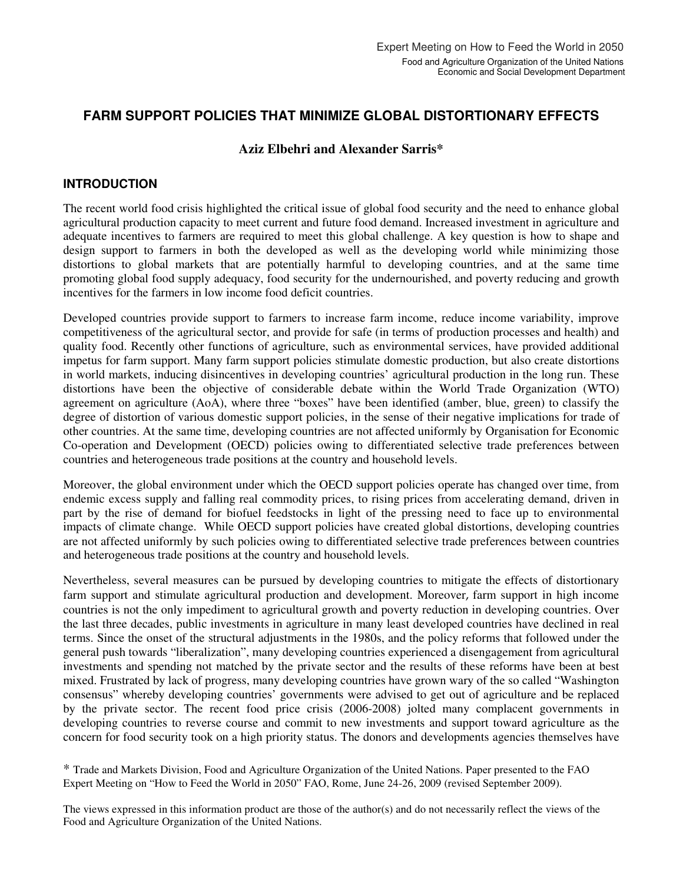# **FARM SUPPORT POLICIES THAT MINIMIZE GLOBAL DISTORTIONARY EFFECTS**

## **Aziz Elbehri and Alexander Sarris\***

## **INTRODUCTION**

The recent world food crisis highlighted the critical issue of global food security and the need to enhance global agricultural production capacity to meet current and future food demand. Increased investment in agriculture and adequate incentives to farmers are required to meet this global challenge. A key question is how to shape and design support to farmers in both the developed as well as the developing world while minimizing those distortions to global markets that are potentially harmful to developing countries, and at the same time promoting global food supply adequacy, food security for the undernourished, and poverty reducing and growth incentives for the farmers in low income food deficit countries.

Developed countries provide support to farmers to increase farm income, reduce income variability, improve competitiveness of the agricultural sector, and provide for safe (in terms of production processes and health) and quality food. Recently other functions of agriculture, such as environmental services, have provided additional impetus for farm support. Many farm support policies stimulate domestic production, but also create distortions in world markets, inducing disincentives in developing countries' agricultural production in the long run. These distortions have been the objective of considerable debate within the World Trade Organization (WTO) agreement on agriculture (AoA), where three "boxes" have been identified (amber, blue, green) to classify the degree of distortion of various domestic support policies, in the sense of their negative implications for trade of other countries. At the same time, developing countries are not affected uniformly by Organisation for Economic Co-operation and Development (OECD) policies owing to differentiated selective trade preferences between countries and heterogeneous trade positions at the country and household levels.

Moreover, the global environment under which the OECD support policies operate has changed over time, from endemic excess supply and falling real commodity prices, to rising prices from accelerating demand, driven in part by the rise of demand for biofuel feedstocks in light of the pressing need to face up to environmental impacts of climate change. While OECD support policies have created global distortions, developing countries are not affected uniformly by such policies owing to differentiated selective trade preferences between countries and heterogeneous trade positions at the country and household levels.

Nevertheless, several measures can be pursued by developing countries to mitigate the effects of distortionary farm support and stimulate agricultural production and development. Moreover, farm support in high income countries is not the only impediment to agricultural growth and poverty reduction in developing countries. Over the last three decades, public investments in agriculture in many least developed countries have declined in real terms. Since the onset of the structural adjustments in the 1980s, and the policy reforms that followed under the general push towards "liberalization", many developing countries experienced a disengagement from agricultural investments and spending not matched by the private sector and the results of these reforms have been at best mixed. Frustrated by lack of progress, many developing countries have grown wary of the so called "Washington consensus" whereby developing countries' governments were advised to get out of agriculture and be replaced by the private sector. The recent food price crisis (2006-2008) jolted many complacent governments in developing countries to reverse course and commit to new investments and support toward agriculture as the concern for food security took on a high priority status. The donors and developments agencies themselves have

\* Trade and Markets Division, Food and Agriculture Organization of the United Nations. Paper presented to the FAO Expert Meeting on "How to Feed the World in 2050" FAO, Rome, June 24-26, 2009 (revised September 2009).

The views expressed in this information product are those of the author(s) and do not necessarily reflect the views of the Food and Agriculture Organization of the United Nations.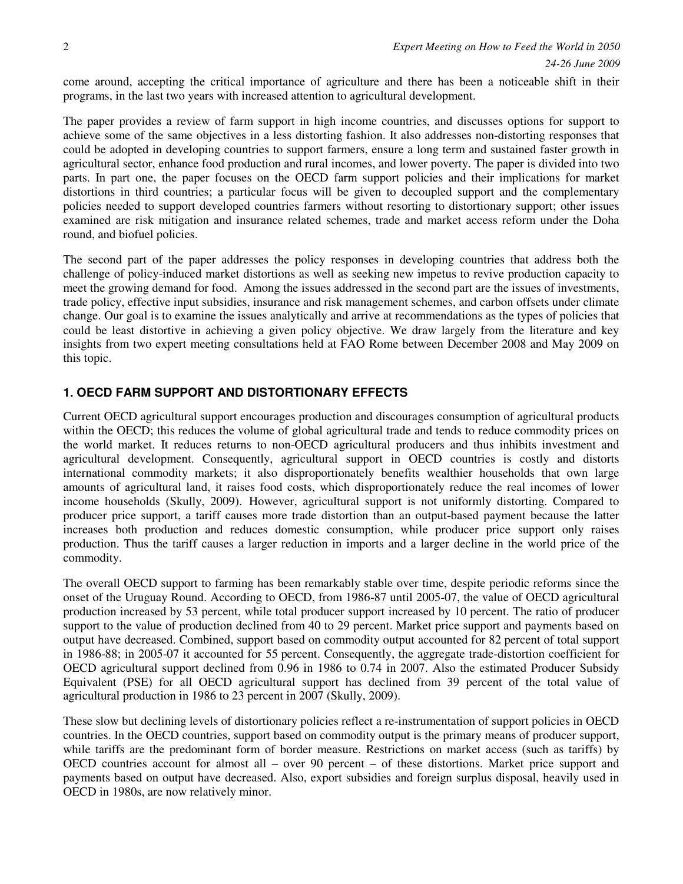come around, accepting the critical importance of agriculture and there has been a noticeable shift in their programs, in the last two years with increased attention to agricultural development.

The paper provides a review of farm support in high income countries, and discusses options for support to achieve some of the same objectives in a less distorting fashion. It also addresses non-distorting responses that could be adopted in developing countries to support farmers, ensure a long term and sustained faster growth in agricultural sector, enhance food production and rural incomes, and lower poverty. The paper is divided into two parts. In part one, the paper focuses on the OECD farm support policies and their implications for market distortions in third countries; a particular focus will be given to decoupled support and the complementary policies needed to support developed countries farmers without resorting to distortionary support; other issues examined are risk mitigation and insurance related schemes, trade and market access reform under the Doha round, and biofuel policies.

The second part of the paper addresses the policy responses in developing countries that address both the challenge of policy-induced market distortions as well as seeking new impetus to revive production capacity to meet the growing demand for food. Among the issues addressed in the second part are the issues of investments, trade policy, effective input subsidies, insurance and risk management schemes, and carbon offsets under climate change. Our goal is to examine the issues analytically and arrive at recommendations as the types of policies that could be least distortive in achieving a given policy objective. We draw largely from the literature and key insights from two expert meeting consultations held at FAO Rome between December 2008 and May 2009 on this topic.

# **1. OECD FARM SUPPORT AND DISTORTIONARY EFFECTS**

Current OECD agricultural support encourages production and discourages consumption of agricultural products within the OECD; this reduces the volume of global agricultural trade and tends to reduce commodity prices on the world market. It reduces returns to non-OECD agricultural producers and thus inhibits investment and agricultural development. Consequently, agricultural support in OECD countries is costly and distorts international commodity markets; it also disproportionately benefits wealthier households that own large amounts of agricultural land, it raises food costs, which disproportionately reduce the real incomes of lower income households (Skully, 2009). However, agricultural support is not uniformly distorting. Compared to producer price support, a tariff causes more trade distortion than an output-based payment because the latter increases both production and reduces domestic consumption, while producer price support only raises production. Thus the tariff causes a larger reduction in imports and a larger decline in the world price of the commodity.

The overall OECD support to farming has been remarkably stable over time, despite periodic reforms since the onset of the Uruguay Round. According to OECD, from 1986-87 until 2005-07, the value of OECD agricultural production increased by 53 percent, while total producer support increased by 10 percent. The ratio of producer support to the value of production declined from 40 to 29 percent. Market price support and payments based on output have decreased. Combined, support based on commodity output accounted for 82 percent of total support in 1986-88; in 2005-07 it accounted for 55 percent. Consequently, the aggregate trade-distortion coefficient for OECD agricultural support declined from 0.96 in 1986 to 0.74 in 2007. Also the estimated Producer Subsidy Equivalent (PSE) for all OECD agricultural support has declined from 39 percent of the total value of agricultural production in 1986 to 23 percent in 2007 (Skully, 2009).

These slow but declining levels of distortionary policies reflect a re-instrumentation of support policies in OECD countries. In the OECD countries, support based on commodity output is the primary means of producer support, while tariffs are the predominant form of border measure. Restrictions on market access (such as tariffs) by OECD countries account for almost all – over 90 percent – of these distortions. Market price support and payments based on output have decreased. Also, export subsidies and foreign surplus disposal, heavily used in OECD in 1980s, are now relatively minor.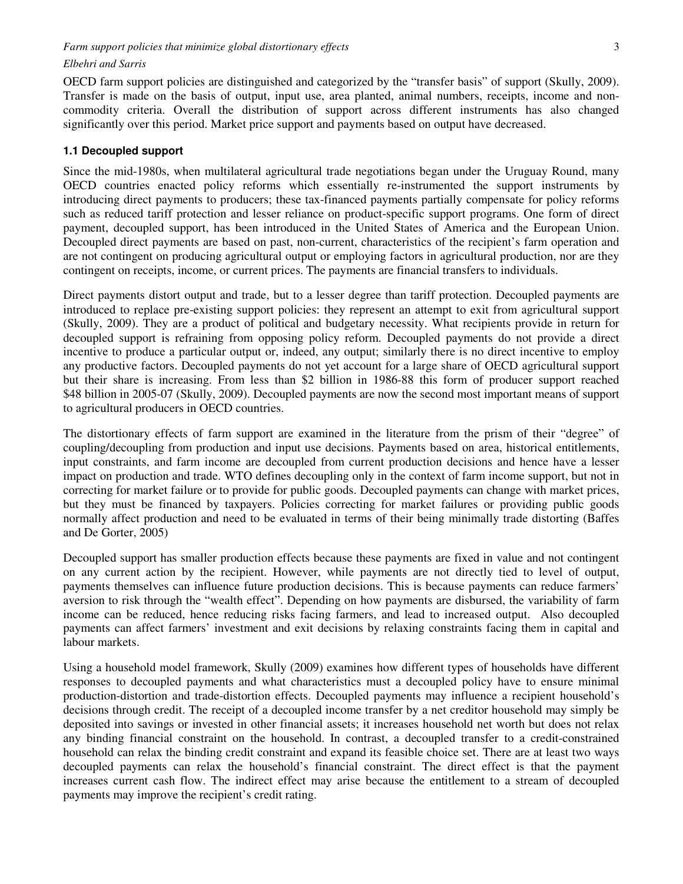OECD farm support policies are distinguished and categorized by the "transfer basis" of support (Skully, 2009). Transfer is made on the basis of output, input use, area planted, animal numbers, receipts, income and noncommodity criteria. Overall the distribution of support across different instruments has also changed significantly over this period. Market price support and payments based on output have decreased.

#### **1.1 Decoupled support**

Since the mid-1980s, when multilateral agricultural trade negotiations began under the Uruguay Round, many OECD countries enacted policy reforms which essentially re-instrumented the support instruments by introducing direct payments to producers; these tax-financed payments partially compensate for policy reforms such as reduced tariff protection and lesser reliance on product-specific support programs. One form of direct payment, decoupled support, has been introduced in the United States of America and the European Union. Decoupled direct payments are based on past, non-current, characteristics of the recipient's farm operation and are not contingent on producing agricultural output or employing factors in agricultural production, nor are they contingent on receipts, income, or current prices. The payments are financial transfers to individuals.

Direct payments distort output and trade, but to a lesser degree than tariff protection. Decoupled payments are introduced to replace pre-existing support policies: they represent an attempt to exit from agricultural support (Skully, 2009). They are a product of political and budgetary necessity. What recipients provide in return for decoupled support is refraining from opposing policy reform. Decoupled payments do not provide a direct incentive to produce a particular output or, indeed, any output; similarly there is no direct incentive to employ any productive factors. Decoupled payments do not yet account for a large share of OECD agricultural support but their share is increasing. From less than \$2 billion in 1986-88 this form of producer support reached \$48 billion in 2005-07 (Skully, 2009). Decoupled payments are now the second most important means of support to agricultural producers in OECD countries.

The distortionary effects of farm support are examined in the literature from the prism of their "degree" of coupling/decoupling from production and input use decisions. Payments based on area, historical entitlements, input constraints, and farm income are decoupled from current production decisions and hence have a lesser impact on production and trade. WTO defines decoupling only in the context of farm income support, but not in correcting for market failure or to provide for public goods. Decoupled payments can change with market prices, but they must be financed by taxpayers. Policies correcting for market failures or providing public goods normally affect production and need to be evaluated in terms of their being minimally trade distorting (Baffes and De Gorter, 2005)

Decoupled support has smaller production effects because these payments are fixed in value and not contingent on any current action by the recipient. However, while payments are not directly tied to level of output, payments themselves can influence future production decisions. This is because payments can reduce farmers' aversion to risk through the "wealth effect". Depending on how payments are disbursed, the variability of farm income can be reduced, hence reducing risks facing farmers, and lead to increased output. Also decoupled payments can affect farmers' investment and exit decisions by relaxing constraints facing them in capital and labour markets.

Using a household model framework, Skully (2009) examines how different types of households have different responses to decoupled payments and what characteristics must a decoupled policy have to ensure minimal production-distortion and trade-distortion effects. Decoupled payments may influence a recipient household's decisions through credit. The receipt of a decoupled income transfer by a net creditor household may simply be deposited into savings or invested in other financial assets; it increases household net worth but does not relax any binding financial constraint on the household. In contrast, a decoupled transfer to a credit-constrained household can relax the binding credit constraint and expand its feasible choice set. There are at least two ways decoupled payments can relax the household's financial constraint. The direct effect is that the payment increases current cash flow. The indirect effect may arise because the entitlement to a stream of decoupled payments may improve the recipient's credit rating.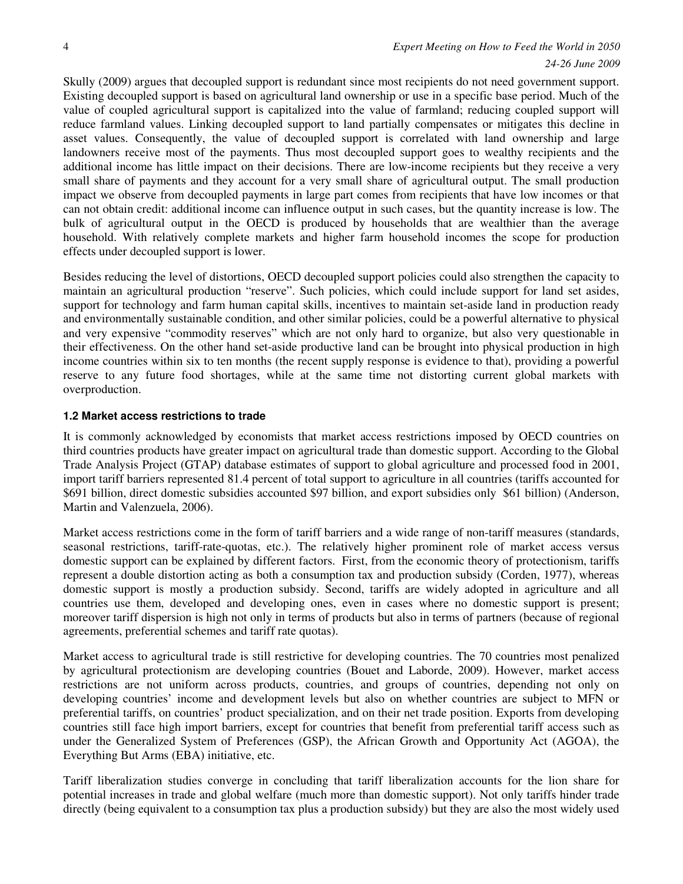### 4 *Expert Meeting on How to Feed the World in 2050 24-26 June 2009*

Skully (2009) argues that decoupled support is redundant since most recipients do not need government support. Existing decoupled support is based on agricultural land ownership or use in a specific base period. Much of the value of coupled agricultural support is capitalized into the value of farmland; reducing coupled support will reduce farmland values. Linking decoupled support to land partially compensates or mitigates this decline in asset values. Consequently, the value of decoupled support is correlated with land ownership and large landowners receive most of the payments. Thus most decoupled support goes to wealthy recipients and the additional income has little impact on their decisions. There are low-income recipients but they receive a very small share of payments and they account for a very small share of agricultural output. The small production impact we observe from decoupled payments in large part comes from recipients that have low incomes or that can not obtain credit: additional income can influence output in such cases, but the quantity increase is low. The bulk of agricultural output in the OECD is produced by households that are wealthier than the average household. With relatively complete markets and higher farm household incomes the scope for production effects under decoupled support is lower.

Besides reducing the level of distortions, OECD decoupled support policies could also strengthen the capacity to maintain an agricultural production "reserve". Such policies, which could include support for land set asides, support for technology and farm human capital skills, incentives to maintain set-aside land in production ready and environmentally sustainable condition, and other similar policies, could be a powerful alternative to physical and very expensive "commodity reserves" which are not only hard to organize, but also very questionable in their effectiveness. On the other hand set-aside productive land can be brought into physical production in high income countries within six to ten months (the recent supply response is evidence to that), providing a powerful reserve to any future food shortages, while at the same time not distorting current global markets with overproduction.

#### **1.2 Market access restrictions to trade**

It is commonly acknowledged by economists that market access restrictions imposed by OECD countries on third countries products have greater impact on agricultural trade than domestic support. According to the Global Trade Analysis Project (GTAP) database estimates of support to global agriculture and processed food in 2001, import tariff barriers represented 81.4 percent of total support to agriculture in all countries (tariffs accounted for \$691 billion, direct domestic subsidies accounted \$97 billion, and export subsidies only \$61 billion) (Anderson, Martin and Valenzuela, 2006).

Market access restrictions come in the form of tariff barriers and a wide range of non-tariff measures (standards, seasonal restrictions, tariff-rate-quotas, etc.). The relatively higher prominent role of market access versus domestic support can be explained by different factors. First, from the economic theory of protectionism, tariffs represent a double distortion acting as both a consumption tax and production subsidy (Corden, 1977), whereas domestic support is mostly a production subsidy. Second, tariffs are widely adopted in agriculture and all countries use them, developed and developing ones, even in cases where no domestic support is present; moreover tariff dispersion is high not only in terms of products but also in terms of partners (because of regional agreements, preferential schemes and tariff rate quotas).

Market access to agricultural trade is still restrictive for developing countries. The 70 countries most penalized by agricultural protectionism are developing countries (Bouet and Laborde, 2009). However, market access restrictions are not uniform across products, countries, and groups of countries, depending not only on developing countries' income and development levels but also on whether countries are subject to MFN or preferential tariffs, on countries' product specialization, and on their net trade position. Exports from developing countries still face high import barriers, except for countries that benefit from preferential tariff access such as under the Generalized System of Preferences (GSP), the African Growth and Opportunity Act (AGOA), the Everything But Arms (EBA) initiative, etc.

Tariff liberalization studies converge in concluding that tariff liberalization accounts for the lion share for potential increases in trade and global welfare (much more than domestic support). Not only tariffs hinder trade directly (being equivalent to a consumption tax plus a production subsidy) but they are also the most widely used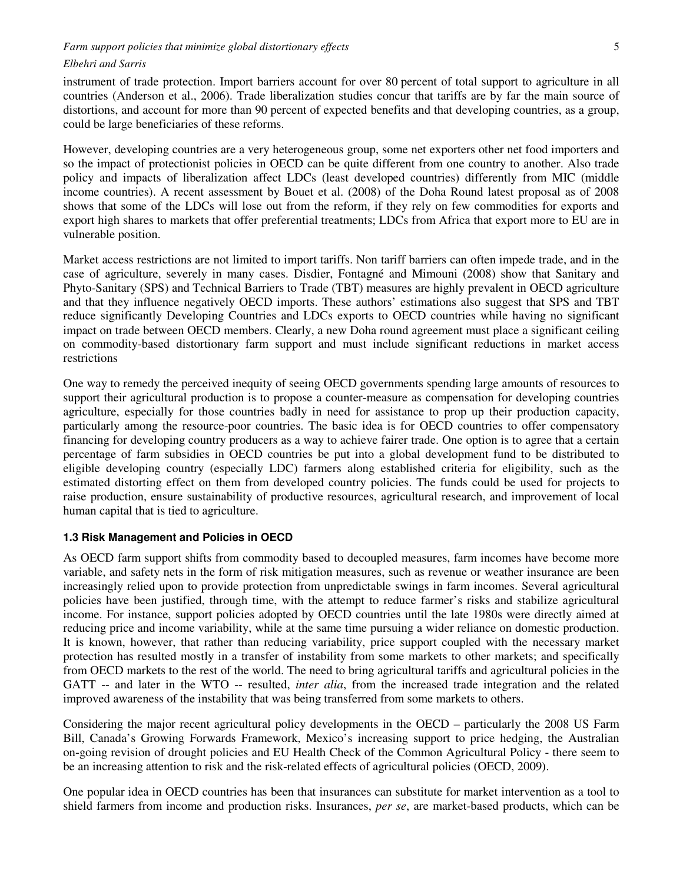instrument of trade protection. Import barriers account for over 80 percent of total support to agriculture in all countries (Anderson et al., 2006). Trade liberalization studies concur that tariffs are by far the main source of distortions, and account for more than 90 percent of expected benefits and that developing countries, as a group, could be large beneficiaries of these reforms.

However, developing countries are a very heterogeneous group, some net exporters other net food importers and so the impact of protectionist policies in OECD can be quite different from one country to another. Also trade policy and impacts of liberalization affect LDCs (least developed countries) differently from MIC (middle income countries). A recent assessment by Bouet et al. (2008) of the Doha Round latest proposal as of 2008 shows that some of the LDCs will lose out from the reform, if they rely on few commodities for exports and export high shares to markets that offer preferential treatments; LDCs from Africa that export more to EU are in vulnerable position.

Market access restrictions are not limited to import tariffs. Non tariff barriers can often impede trade, and in the case of agriculture, severely in many cases. Disdier, Fontagné and Mimouni (2008) show that Sanitary and Phyto-Sanitary (SPS) and Technical Barriers to Trade (TBT) measures are highly prevalent in OECD agriculture and that they influence negatively OECD imports. These authors' estimations also suggest that SPS and TBT reduce significantly Developing Countries and LDCs exports to OECD countries while having no significant impact on trade between OECD members. Clearly, a new Doha round agreement must place a significant ceiling on commodity-based distortionary farm support and must include significant reductions in market access restrictions

One way to remedy the perceived inequity of seeing OECD governments spending large amounts of resources to support their agricultural production is to propose a counter-measure as compensation for developing countries agriculture, especially for those countries badly in need for assistance to prop up their production capacity, particularly among the resource-poor countries. The basic idea is for OECD countries to offer compensatory financing for developing country producers as a way to achieve fairer trade. One option is to agree that a certain percentage of farm subsidies in OECD countries be put into a global development fund to be distributed to eligible developing country (especially LDC) farmers along established criteria for eligibility, such as the estimated distorting effect on them from developed country policies. The funds could be used for projects to raise production, ensure sustainability of productive resources, agricultural research, and improvement of local human capital that is tied to agriculture.

#### **1.3 Risk Management and Policies in OECD**

As OECD farm support shifts from commodity based to decoupled measures, farm incomes have become more variable, and safety nets in the form of risk mitigation measures, such as revenue or weather insurance are been increasingly relied upon to provide protection from unpredictable swings in farm incomes. Several agricultural policies have been justified, through time, with the attempt to reduce farmer's risks and stabilize agricultural income. For instance, support policies adopted by OECD countries until the late 1980s were directly aimed at reducing price and income variability, while at the same time pursuing a wider reliance on domestic production. It is known, however, that rather than reducing variability, price support coupled with the necessary market protection has resulted mostly in a transfer of instability from some markets to other markets; and specifically from OECD markets to the rest of the world. The need to bring agricultural tariffs and agricultural policies in the GATT -- and later in the WTO -- resulted, *inter alia*, from the increased trade integration and the related improved awareness of the instability that was being transferred from some markets to others.

Considering the major recent agricultural policy developments in the OECD – particularly the 2008 US Farm Bill, Canada's Growing Forwards Framework, Mexico's increasing support to price hedging, the Australian on-going revision of drought policies and EU Health Check of the Common Agricultural Policy - there seem to be an increasing attention to risk and the risk-related effects of agricultural policies (OECD, 2009).

One popular idea in OECD countries has been that insurances can substitute for market intervention as a tool to shield farmers from income and production risks. Insurances, *per se*, are market-based products, which can be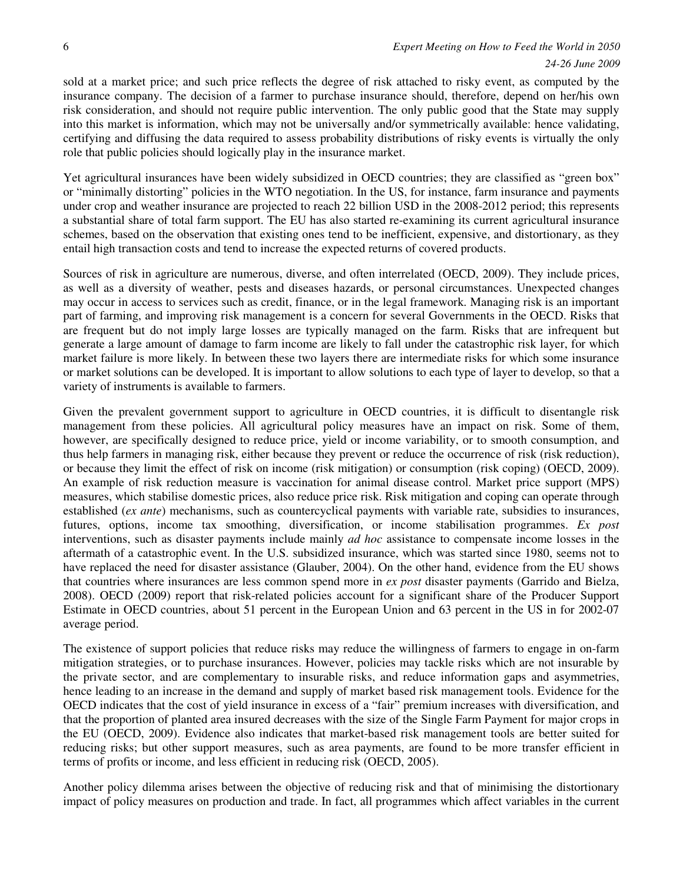sold at a market price; and such price reflects the degree of risk attached to risky event, as computed by the insurance company. The decision of a farmer to purchase insurance should, therefore, depend on her/his own risk consideration, and should not require public intervention. The only public good that the State may supply into this market is information, which may not be universally and/or symmetrically available: hence validating, certifying and diffusing the data required to assess probability distributions of risky events is virtually the only role that public policies should logically play in the insurance market.

Yet agricultural insurances have been widely subsidized in OECD countries; they are classified as "green box" or "minimally distorting" policies in the WTO negotiation. In the US, for instance, farm insurance and payments under crop and weather insurance are projected to reach 22 billion USD in the 2008-2012 period; this represents a substantial share of total farm support. The EU has also started re-examining its current agricultural insurance schemes, based on the observation that existing ones tend to be inefficient, expensive, and distortionary, as they entail high transaction costs and tend to increase the expected returns of covered products.

Sources of risk in agriculture are numerous, diverse, and often interrelated (OECD, 2009). They include prices, as well as a diversity of weather, pests and diseases hazards, or personal circumstances. Unexpected changes may occur in access to services such as credit, finance, or in the legal framework. Managing risk is an important part of farming, and improving risk management is a concern for several Governments in the OECD. Risks that are frequent but do not imply large losses are typically managed on the farm. Risks that are infrequent but generate a large amount of damage to farm income are likely to fall under the catastrophic risk layer, for which market failure is more likely. In between these two layers there are intermediate risks for which some insurance or market solutions can be developed. It is important to allow solutions to each type of layer to develop, so that a variety of instruments is available to farmers.

Given the prevalent government support to agriculture in OECD countries, it is difficult to disentangle risk management from these policies. All agricultural policy measures have an impact on risk. Some of them, however, are specifically designed to reduce price, yield or income variability, or to smooth consumption, and thus help farmers in managing risk, either because they prevent or reduce the occurrence of risk (risk reduction), or because they limit the effect of risk on income (risk mitigation) or consumption (risk coping) (OECD, 2009). An example of risk reduction measure is vaccination for animal disease control. Market price support (MPS) measures, which stabilise domestic prices, also reduce price risk. Risk mitigation and coping can operate through established (*ex ante*) mechanisms, such as countercyclical payments with variable rate, subsidies to insurances, futures, options, income tax smoothing, diversification, or income stabilisation programmes. *Ex post*  interventions, such as disaster payments include mainly *ad hoc* assistance to compensate income losses in the aftermath of a catastrophic event. In the U.S. subsidized insurance, which was started since 1980, seems not to have replaced the need for disaster assistance (Glauber, 2004). On the other hand, evidence from the EU shows that countries where insurances are less common spend more in *ex post* disaster payments (Garrido and Bielza, 2008). OECD (2009) report that risk-related policies account for a significant share of the Producer Support Estimate in OECD countries, about 51 percent in the European Union and 63 percent in the US in for 2002-07 average period.

The existence of support policies that reduce risks may reduce the willingness of farmers to engage in on-farm mitigation strategies, or to purchase insurances. However, policies may tackle risks which are not insurable by the private sector, and are complementary to insurable risks, and reduce information gaps and asymmetries, hence leading to an increase in the demand and supply of market based risk management tools. Evidence for the OECD indicates that the cost of yield insurance in excess of a "fair" premium increases with diversification, and that the proportion of planted area insured decreases with the size of the Single Farm Payment for major crops in the EU (OECD, 2009). Evidence also indicates that market-based risk management tools are better suited for reducing risks; but other support measures, such as area payments, are found to be more transfer efficient in terms of profits or income, and less efficient in reducing risk (OECD, 2005).

Another policy dilemma arises between the objective of reducing risk and that of minimising the distortionary impact of policy measures on production and trade. In fact, all programmes which affect variables in the current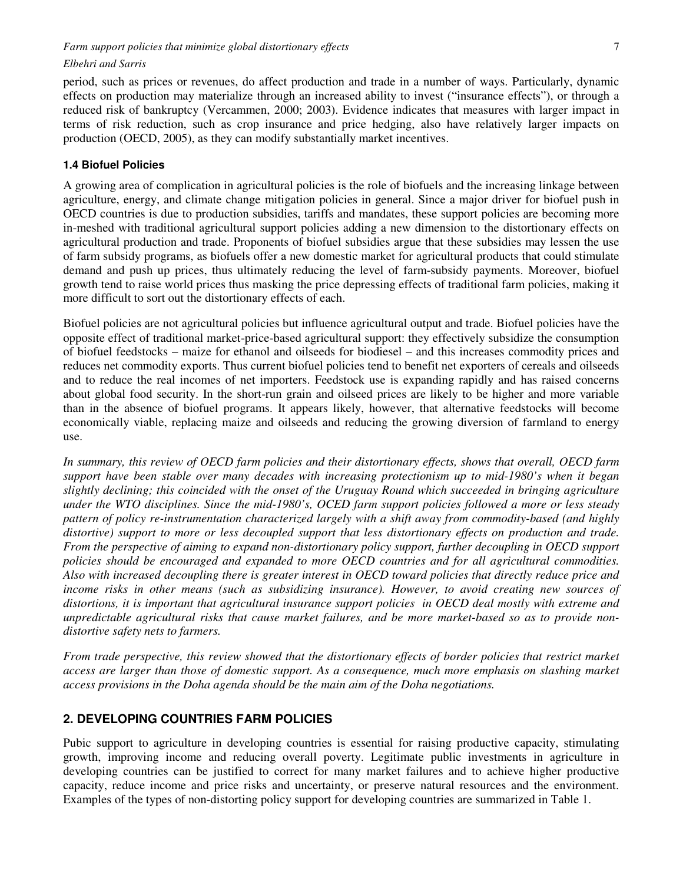period, such as prices or revenues, do affect production and trade in a number of ways. Particularly, dynamic effects on production may materialize through an increased ability to invest ("insurance effects"), or through a reduced risk of bankruptcy (Vercammen, 2000; 2003). Evidence indicates that measures with larger impact in terms of risk reduction, such as crop insurance and price hedging, also have relatively larger impacts on production (OECD, 2005), as they can modify substantially market incentives.

#### **1.4 Biofuel Policies**

A growing area of complication in agricultural policies is the role of biofuels and the increasing linkage between agriculture, energy, and climate change mitigation policies in general. Since a major driver for biofuel push in OECD countries is due to production subsidies, tariffs and mandates, these support policies are becoming more in-meshed with traditional agricultural support policies adding a new dimension to the distortionary effects on agricultural production and trade. Proponents of biofuel subsidies argue that these subsidies may lessen the use of farm subsidy programs, as biofuels offer a new domestic market for agricultural products that could stimulate demand and push up prices, thus ultimately reducing the level of farm-subsidy payments. Moreover, biofuel growth tend to raise world prices thus masking the price depressing effects of traditional farm policies, making it more difficult to sort out the distortionary effects of each.

Biofuel policies are not agricultural policies but influence agricultural output and trade. Biofuel policies have the opposite effect of traditional market-price-based agricultural support: they effectively subsidize the consumption of biofuel feedstocks – maize for ethanol and oilseeds for biodiesel – and this increases commodity prices and reduces net commodity exports. Thus current biofuel policies tend to benefit net exporters of cereals and oilseeds and to reduce the real incomes of net importers. Feedstock use is expanding rapidly and has raised concerns about global food security. In the short-run grain and oilseed prices are likely to be higher and more variable than in the absence of biofuel programs. It appears likely, however, that alternative feedstocks will become economically viable, replacing maize and oilseeds and reducing the growing diversion of farmland to energy use.

*In summary, this review of OECD farm policies and their distortionary effects, shows that overall, OECD farm support have been stable over many decades with increasing protectionism up to mid-1980's when it began slightly declining; this coincided with the onset of the Uruguay Round which succeeded in bringing agriculture under the WTO disciplines. Since the mid-1980's, OCED farm support policies followed a more or less steady pattern of policy re-instrumentation characterized largely with a shift away from commodity-based (and highly distortive) support to more or less decoupled support that less distortionary effects on production and trade. From the perspective of aiming to expand non-distortionary policy support, further decoupling in OECD support policies should be encouraged and expanded to more OECD countries and for all agricultural commodities. Also with increased decoupling there is greater interest in OECD toward policies that directly reduce price and income risks in other means (such as subsidizing insurance). However, to avoid creating new sources of distortions, it is important that agricultural insurance support policies in OECD deal mostly with extreme and unpredictable agricultural risks that cause market failures, and be more market-based so as to provide nondistortive safety nets to farmers.* 

*From trade perspective, this review showed that the distortionary effects of border policies that restrict market access are larger than those of domestic support. As a consequence, much more emphasis on slashing market access provisions in the Doha agenda should be the main aim of the Doha negotiations.* 

### **2. DEVELOPING COUNTRIES FARM POLICIES**

Pubic support to agriculture in developing countries is essential for raising productive capacity, stimulating growth, improving income and reducing overall poverty. Legitimate public investments in agriculture in developing countries can be justified to correct for many market failures and to achieve higher productive capacity, reduce income and price risks and uncertainty, or preserve natural resources and the environment. Examples of the types of non-distorting policy support for developing countries are summarized in Table 1.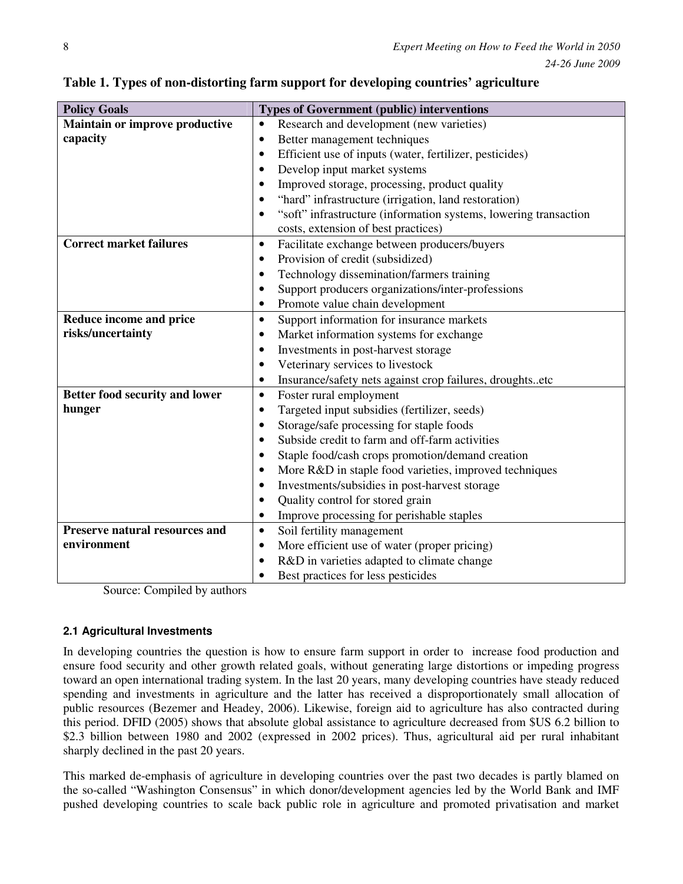| <b>Policy Goals</b>                   | <b>Types of Government (public) interventions</b>                     |
|---------------------------------------|-----------------------------------------------------------------------|
| <b>Maintain or improve productive</b> | Research and development (new varieties)<br>$\bullet$                 |
| capacity                              | Better management techniques<br>$\bullet$                             |
|                                       | Efficient use of inputs (water, fertilizer, pesticides)<br>$\bullet$  |
|                                       | Develop input market systems<br>$\bullet$                             |
|                                       | Improved storage, processing, product quality                         |
|                                       | "hard" infrastructure (irrigation, land restoration)                  |
|                                       | "soft" infrastructure (information systems, lowering transaction      |
|                                       | costs, extension of best practices)                                   |
| <b>Correct market failures</b>        | Facilitate exchange between producers/buyers<br>$\bullet$             |
|                                       | Provision of credit (subsidized)<br>$\bullet$                         |
|                                       | Technology dissemination/farmers training                             |
|                                       | Support producers organizations/inter-professions                     |
|                                       | Promote value chain development<br>$\bullet$                          |
| Reduce income and price               | Support information for insurance markets<br>$\bullet$                |
| risks/uncertainty                     | Market information systems for exchange<br>$\bullet$                  |
|                                       | Investments in post-harvest storage<br>٠                              |
|                                       | Veterinary services to livestock                                      |
|                                       | Insurance/safety nets against crop failures, droughtsetc<br>$\bullet$ |
| Better food security and lower        | Foster rural employment<br>$\bullet$                                  |
| hunger                                | Targeted input subsidies (fertilizer, seeds)<br>$\bullet$             |
|                                       | Storage/safe processing for staple foods                              |
|                                       | Subside credit to farm and off-farm activities                        |
|                                       | Staple food/cash crops promotion/demand creation                      |
|                                       | More R&D in staple food varieties, improved techniques                |
|                                       | Investments/subsidies in post-harvest storage                         |
|                                       | Quality control for stored grain                                      |
|                                       | Improve processing for perishable staples<br>٠                        |
| Preserve natural resources and        | Soil fertility management<br>$\bullet$                                |
| environment                           | More efficient use of water (proper pricing)<br>$\bullet$             |
|                                       | R&D in varieties adapted to climate change                            |
|                                       | Best practices for less pesticides                                    |

**Table 1. Types of non-distorting farm support for developing countries' agriculture** 

Source: Compiled by authors

# **2.1 Agricultural Investments**

In developing countries the question is how to ensure farm support in order to increase food production and ensure food security and other growth related goals, without generating large distortions or impeding progress toward an open international trading system. In the last 20 years, many developing countries have steady reduced spending and investments in agriculture and the latter has received a disproportionately small allocation of public resources (Bezemer and Headey, 2006). Likewise, foreign aid to agriculture has also contracted during this period. DFID (2005) shows that absolute global assistance to agriculture decreased from \$US 6.2 billion to \$2.3 billion between 1980 and 2002 (expressed in 2002 prices). Thus, agricultural aid per rural inhabitant sharply declined in the past 20 years.

This marked de-emphasis of agriculture in developing countries over the past two decades is partly blamed on the so-called "Washington Consensus" in which donor/development agencies led by the World Bank and IMF pushed developing countries to scale back public role in agriculture and promoted privatisation and market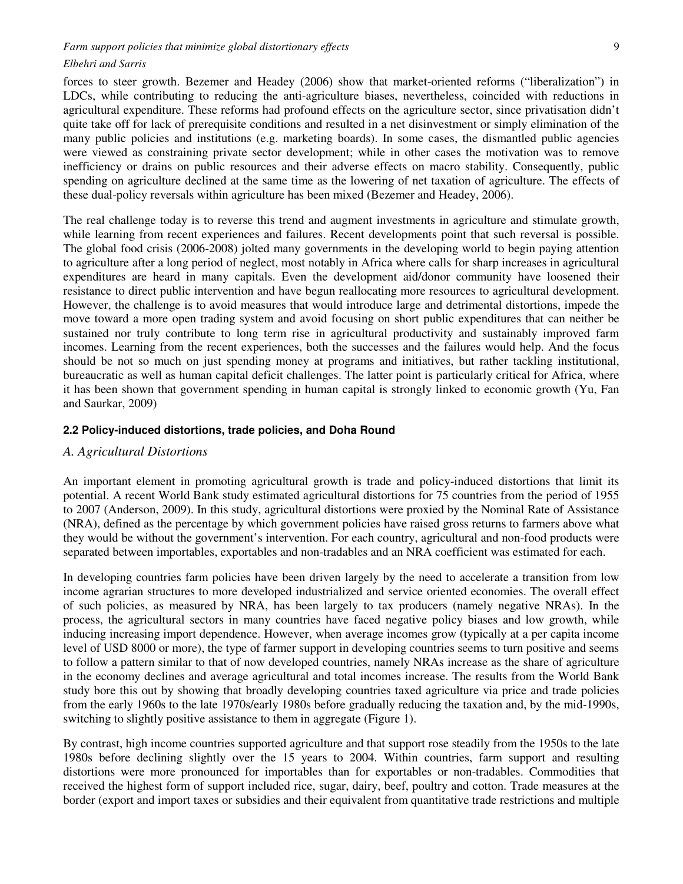forces to steer growth. Bezemer and Headey (2006) show that market-oriented reforms ("liberalization") in LDCs, while contributing to reducing the anti-agriculture biases, nevertheless, coincided with reductions in agricultural expenditure. These reforms had profound effects on the agriculture sector, since privatisation didn't quite take off for lack of prerequisite conditions and resulted in a net disinvestment or simply elimination of the many public policies and institutions (e.g. marketing boards). In some cases, the dismantled public agencies were viewed as constraining private sector development; while in other cases the motivation was to remove inefficiency or drains on public resources and their adverse effects on macro stability. Consequently, public spending on agriculture declined at the same time as the lowering of net taxation of agriculture. The effects of these dual-policy reversals within agriculture has been mixed (Bezemer and Headey, 2006).

The real challenge today is to reverse this trend and augment investments in agriculture and stimulate growth, while learning from recent experiences and failures. Recent developments point that such reversal is possible. The global food crisis (2006-2008) jolted many governments in the developing world to begin paying attention to agriculture after a long period of neglect, most notably in Africa where calls for sharp increases in agricultural expenditures are heard in many capitals. Even the development aid/donor community have loosened their resistance to direct public intervention and have begun reallocating more resources to agricultural development. However, the challenge is to avoid measures that would introduce large and detrimental distortions, impede the move toward a more open trading system and avoid focusing on short public expenditures that can neither be sustained nor truly contribute to long term rise in agricultural productivity and sustainably improved farm incomes. Learning from the recent experiences, both the successes and the failures would help. And the focus should be not so much on just spending money at programs and initiatives, but rather tackling institutional, bureaucratic as well as human capital deficit challenges. The latter point is particularly critical for Africa, where it has been shown that government spending in human capital is strongly linked to economic growth (Yu, Fan and Saurkar, 2009)

## **2.2 Policy-induced distortions, trade policies, and Doha Round**

#### *A. Agricultural Distortions*

An important element in promoting agricultural growth is trade and policy-induced distortions that limit its potential. A recent World Bank study estimated agricultural distortions for 75 countries from the period of 1955 to 2007 (Anderson, 2009). In this study, agricultural distortions were proxied by the Nominal Rate of Assistance (NRA), defined as the percentage by which government policies have raised gross returns to farmers above what they would be without the government's intervention. For each country, agricultural and non-food products were separated between importables, exportables and non-tradables and an NRA coefficient was estimated for each.

In developing countries farm policies have been driven largely by the need to accelerate a transition from low income agrarian structures to more developed industrialized and service oriented economies. The overall effect of such policies, as measured by NRA, has been largely to tax producers (namely negative NRAs). In the process, the agricultural sectors in many countries have faced negative policy biases and low growth, while inducing increasing import dependence. However, when average incomes grow (typically at a per capita income level of USD 8000 or more), the type of farmer support in developing countries seems to turn positive and seems to follow a pattern similar to that of now developed countries, namely NRAs increase as the share of agriculture in the economy declines and average agricultural and total incomes increase. The results from the World Bank study bore this out by showing that broadly developing countries taxed agriculture via price and trade policies from the early 1960s to the late 1970s/early 1980s before gradually reducing the taxation and, by the mid-1990s, switching to slightly positive assistance to them in aggregate (Figure 1).

By contrast, high income countries supported agriculture and that support rose steadily from the 1950s to the late 1980s before declining slightly over the 15 years to 2004. Within countries, farm support and resulting distortions were more pronounced for importables than for exportables or non-tradables. Commodities that received the highest form of support included rice, sugar, dairy, beef, poultry and cotton. Trade measures at the border (export and import taxes or subsidies and their equivalent from quantitative trade restrictions and multiple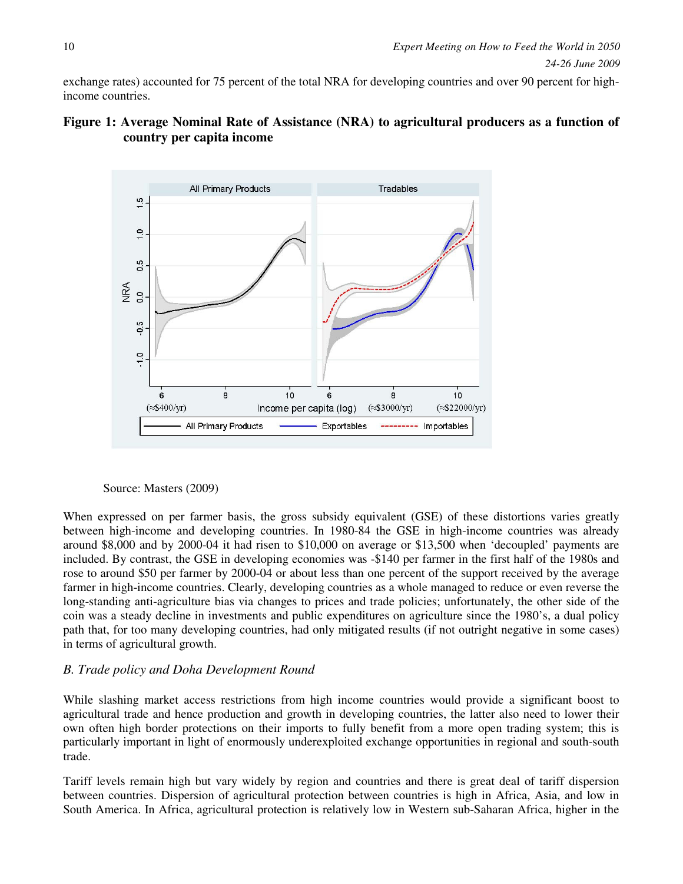exchange rates) accounted for 75 percent of the total NRA for developing countries and over 90 percent for highincome countries.

# **Figure 1: Average Nominal Rate of Assistance (NRA) to agricultural producers as a function of country per capita income**



Source: Masters (2009)

When expressed on per farmer basis, the gross subsidy equivalent (GSE) of these distortions varies greatly between high-income and developing countries. In 1980-84 the GSE in high-income countries was already around \$8,000 and by 2000-04 it had risen to \$10,000 on average or \$13,500 when 'decoupled' payments are included. By contrast, the GSE in developing economies was -\$140 per farmer in the first half of the 1980s and rose to around \$50 per farmer by 2000-04 or about less than one percent of the support received by the average farmer in high-income countries. Clearly, developing countries as a whole managed to reduce or even reverse the long-standing anti-agriculture bias via changes to prices and trade policies; unfortunately, the other side of the coin was a steady decline in investments and public expenditures on agriculture since the 1980's, a dual policy path that, for too many developing countries, had only mitigated results (if not outright negative in some cases) in terms of agricultural growth.

# *B. Trade policy and Doha Development Round*

While slashing market access restrictions from high income countries would provide a significant boost to agricultural trade and hence production and growth in developing countries, the latter also need to lower their own often high border protections on their imports to fully benefit from a more open trading system; this is particularly important in light of enormously underexploited exchange opportunities in regional and south-south trade.

Tariff levels remain high but vary widely by region and countries and there is great deal of tariff dispersion between countries. Dispersion of agricultural protection between countries is high in Africa, Asia, and low in South America. In Africa, agricultural protection is relatively low in Western sub-Saharan Africa, higher in the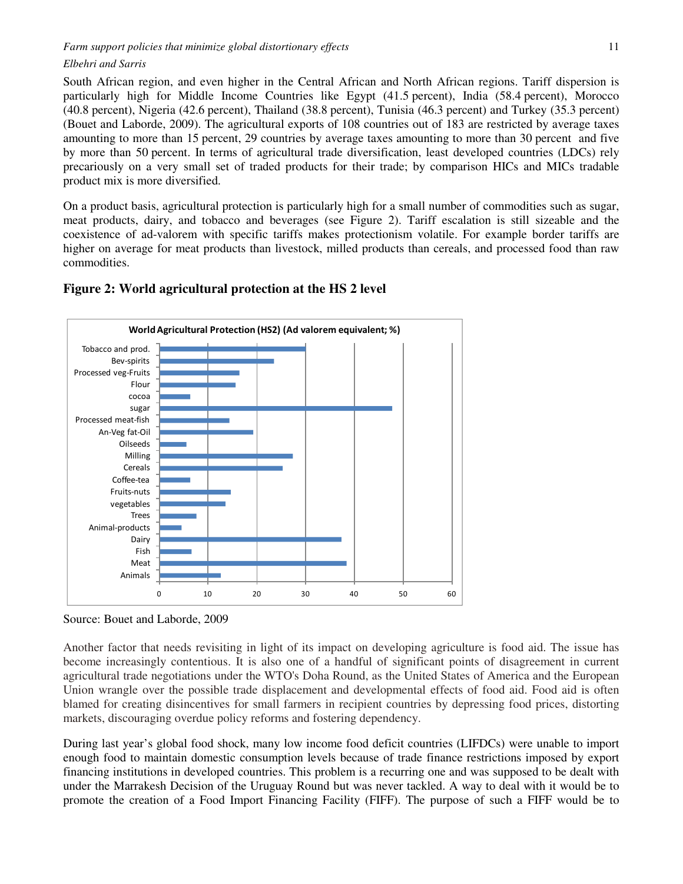South African region, and even higher in the Central African and North African regions. Tariff dispersion is particularly high for Middle Income Countries like Egypt (41.5 percent), India (58.4 percent), Morocco (40.8 percent), Nigeria (42.6 percent), Thailand (38.8 percent), Tunisia (46.3 percent) and Turkey (35.3 percent) (Bouet and Laborde, 2009). The agricultural exports of 108 countries out of 183 are restricted by average taxes amounting to more than 15 percent, 29 countries by average taxes amounting to more than 30 percent and five by more than 50 percent. In terms of agricultural trade diversification, least developed countries (LDCs) rely precariously on a very small set of traded products for their trade; by comparison HICs and MICs tradable product mix is more diversified.

On a product basis, agricultural protection is particularly high for a small number of commodities such as sugar, meat products, dairy, and tobacco and beverages (see Figure 2). Tariff escalation is still sizeable and the coexistence of ad-valorem with specific tariffs makes protectionism volatile. For example border tariffs are higher on average for meat products than livestock, milled products than cereals, and processed food than raw commodities.



## **Figure 2: World agricultural protection at the HS 2 level**

Source: Bouet and Laborde, 2009

Another factor that needs revisiting in light of its impact on developing agriculture is food aid. The issue has become increasingly contentious. It is also one of a handful of significant points of disagreement in current agricultural trade negotiations under the WTO's Doha Round, as the United States of America and the European Union wrangle over the possible trade displacement and developmental effects of food aid. Food aid is often blamed for creating disincentives for small farmers in recipient countries by depressing food prices, distorting markets, discouraging overdue policy reforms and fostering dependency.

During last year's global food shock, many low income food deficit countries (LIFDCs) were unable to import enough food to maintain domestic consumption levels because of trade finance restrictions imposed by export financing institutions in developed countries. This problem is a recurring one and was supposed to be dealt with under the Marrakesh Decision of the Uruguay Round but was never tackled. A way to deal with it would be to promote the creation of a Food Import Financing Facility (FIFF). The purpose of such a FIFF would be to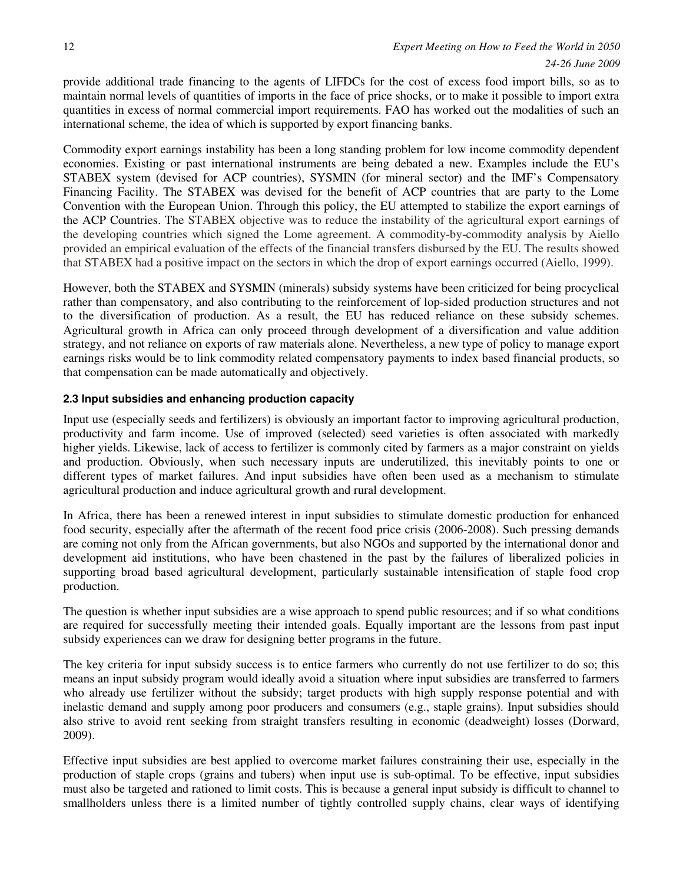provide additional trade financing to the agents of LIFDCs for the cost of excess food import bills, so as to maintain normal levels of quantities of imports in the face of price shocks, or to make it possible to import extra quantities in excess of normal commercial import requirements. FAO has worked out the modalities of such an international scheme, the idea of which is supported by export financing banks.

Commodity export earnings instability has been a long standing problem for low income commodity dependent economies. Existing or past international instruments are being debated a new. Examples include the EU's STABEX system (devised for ACP countries), SYSMIN (for mineral sector) and the IMF's Compensatory Financing Facility. The STABEX was devised for the benefit of ACP countries that are party to the Lome Convention with the European Union. Through this policy, the EU attempted to stabilize the export earnings of the ACP Countries. The STABEX objective was to reduce the instability of the agricultural export earnings of the developing countries which signed the Lome agreement. A commodity-by-commodity analysis by Aiello provided an empirical evaluation of the effects of the financial transfers disbursed by the EU. The results showed that STABEX had a positive impact on the sectors in which the drop of export earnings occurred (Aiello, 1999).

However, both the STABEX and SYSMIN (minerals) subsidy systems have been criticized for being procyclical rather than compensatory, and also contributing to the reinforcement of lop-sided production structures and not to the diversification of production. As a result, the EU has reduced reliance on these subsidy schemes. Agricultural growth in Africa can only proceed through development of a diversification and value addition strategy, and not reliance on exports of raw materials alone. Nevertheless, a new type of policy to manage export earnings risks would be to link commodity related compensatory payments to index based financial products, so that compensation can be made automatically and objectively.

## **2.3 Input subsidies and enhancing production capacity**

Input use (especially seeds and fertilizers) is obviously an important factor to improving agricultural production, productivity and farm income. Use of improved (selected) seed varieties is often associated with markedly higher yields. Likewise, lack of access to fertilizer is commonly cited by farmers as a major constraint on yields and production. Obviously, when such necessary inputs are underutilized, this inevitably points to one or different types of market failures. And input subsidies have often been used as a mechanism to stimulate agricultural production and induce agricultural growth and rural development.

In Africa, there has been a renewed interest in input subsidies to stimulate domestic production for enhanced food security, especially after the aftermath of the recent food price crisis (2006-2008). Such pressing demands are coming not only from the African governments, but also NGOs and supported by the international donor and development aid institutions, who have been chastened in the past by the failures of liberalized policies in supporting broad based agricultural development, particularly sustainable intensification of staple food crop production.

The question is whether input subsidies are a wise approach to spend public resources; and if so what conditions are required for successfully meeting their intended goals. Equally important are the lessons from past input subsidy experiences can we draw for designing better programs in the future.

The key criteria for input subsidy success is to entice farmers who currently do not use fertilizer to do so; this means an input subsidy program would ideally avoid a situation where input subsidies are transferred to farmers who already use fertilizer without the subsidy; target products with high supply response potential and with inelastic demand and supply among poor producers and consumers (e.g., staple grains). Input subsidies should also strive to avoid rent seeking from straight transfers resulting in economic (deadweight) losses (Dorward, 2009).

Effective input subsidies are best applied to overcome market failures constraining their use, especially in the production of staple crops (grains and tubers) when input use is sub-optimal. To be effective, input subsidies must also be targeted and rationed to limit costs. This is because a general input subsidy is difficult to channel to smallholders unless there is a limited number of tightly controlled supply chains, clear ways of identifying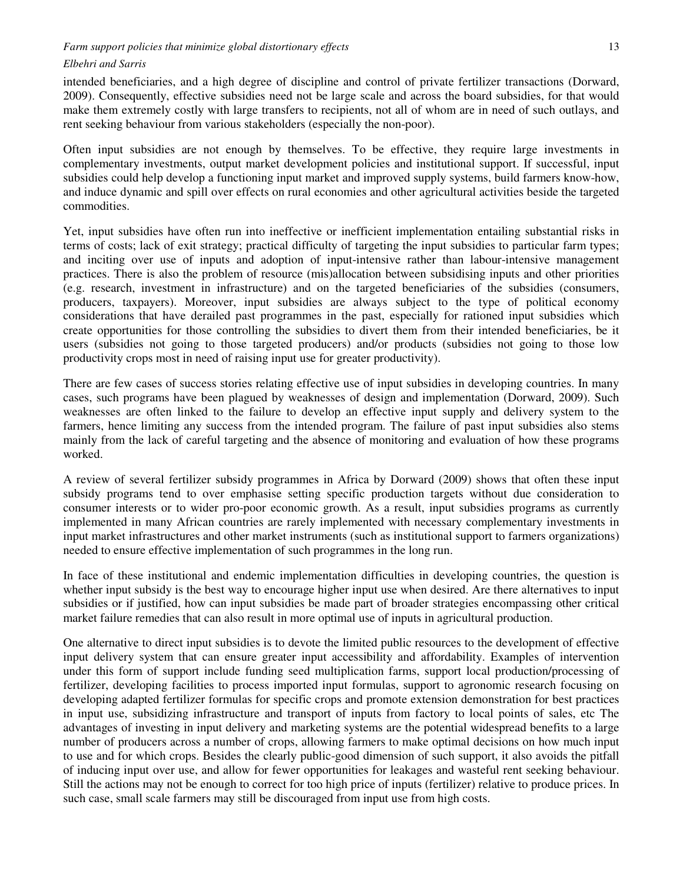#### *Farm support policies that minimize global distortionary effects* 13

### *Elbehri and Sarris*

intended beneficiaries, and a high degree of discipline and control of private fertilizer transactions (Dorward, 2009). Consequently, effective subsidies need not be large scale and across the board subsidies, for that would make them extremely costly with large transfers to recipients, not all of whom are in need of such outlays, and rent seeking behaviour from various stakeholders (especially the non-poor).

Often input subsidies are not enough by themselves. To be effective, they require large investments in complementary investments, output market development policies and institutional support. If successful, input subsidies could help develop a functioning input market and improved supply systems, build farmers know-how, and induce dynamic and spill over effects on rural economies and other agricultural activities beside the targeted commodities.

Yet, input subsidies have often run into ineffective or inefficient implementation entailing substantial risks in terms of costs; lack of exit strategy; practical difficulty of targeting the input subsidies to particular farm types; and inciting over use of inputs and adoption of input-intensive rather than labour-intensive management practices. There is also the problem of resource (mis)allocation between subsidising inputs and other priorities (e.g. research, investment in infrastructure) and on the targeted beneficiaries of the subsidies (consumers, producers, taxpayers). Moreover, input subsidies are always subject to the type of political economy considerations that have derailed past programmes in the past, especially for rationed input subsidies which create opportunities for those controlling the subsidies to divert them from their intended beneficiaries, be it users (subsidies not going to those targeted producers) and/or products (subsidies not going to those low productivity crops most in need of raising input use for greater productivity).

There are few cases of success stories relating effective use of input subsidies in developing countries. In many cases, such programs have been plagued by weaknesses of design and implementation (Dorward, 2009). Such weaknesses are often linked to the failure to develop an effective input supply and delivery system to the farmers, hence limiting any success from the intended program. The failure of past input subsidies also stems mainly from the lack of careful targeting and the absence of monitoring and evaluation of how these programs worked.

A review of several fertilizer subsidy programmes in Africa by Dorward (2009) shows that often these input subsidy programs tend to over emphasise setting specific production targets without due consideration to consumer interests or to wider pro-poor economic growth. As a result, input subsidies programs as currently implemented in many African countries are rarely implemented with necessary complementary investments in input market infrastructures and other market instruments (such as institutional support to farmers organizations) needed to ensure effective implementation of such programmes in the long run.

In face of these institutional and endemic implementation difficulties in developing countries, the question is whether input subsidy is the best way to encourage higher input use when desired. Are there alternatives to input subsidies or if justified, how can input subsidies be made part of broader strategies encompassing other critical market failure remedies that can also result in more optimal use of inputs in agricultural production.

One alternative to direct input subsidies is to devote the limited public resources to the development of effective input delivery system that can ensure greater input accessibility and affordability. Examples of intervention under this form of support include funding seed multiplication farms, support local production/processing of fertilizer, developing facilities to process imported input formulas, support to agronomic research focusing on developing adapted fertilizer formulas for specific crops and promote extension demonstration for best practices in input use, subsidizing infrastructure and transport of inputs from factory to local points of sales, etc The advantages of investing in input delivery and marketing systems are the potential widespread benefits to a large number of producers across a number of crops, allowing farmers to make optimal decisions on how much input to use and for which crops. Besides the clearly public-good dimension of such support, it also avoids the pitfall of inducing input over use, and allow for fewer opportunities for leakages and wasteful rent seeking behaviour. Still the actions may not be enough to correct for too high price of inputs (fertilizer) relative to produce prices. In such case, small scale farmers may still be discouraged from input use from high costs.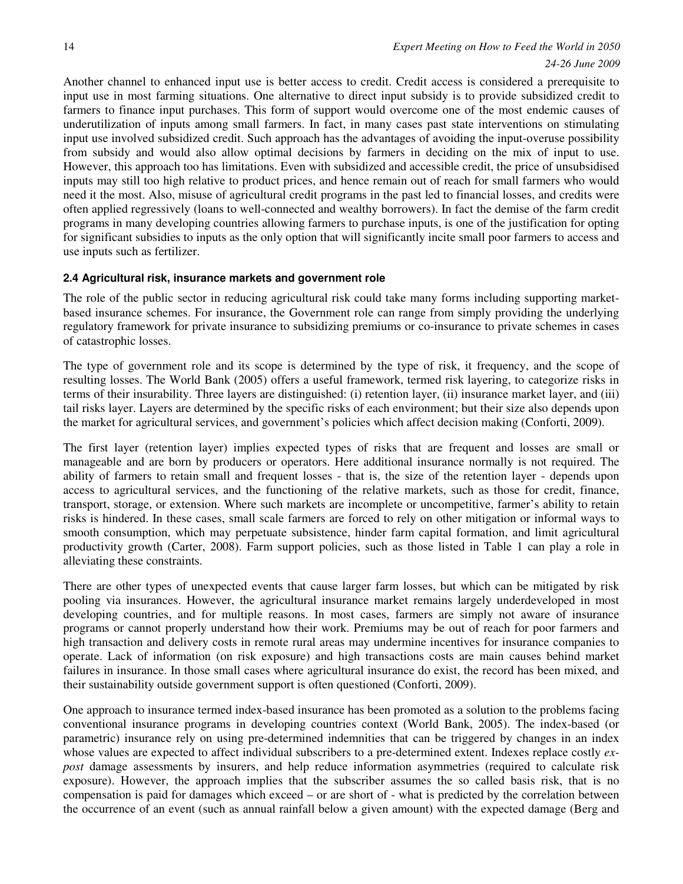Another channel to enhanced input use is better access to credit. Credit access is considered a prerequisite to input use in most farming situations. One alternative to direct input subsidy is to provide subsidized credit to farmers to finance input purchases. This form of support would overcome one of the most endemic causes of underutilization of inputs among small farmers. In fact, in many cases past state interventions on stimulating input use involved subsidized credit. Such approach has the advantages of avoiding the input-overuse possibility from subsidy and would also allow optimal decisions by farmers in deciding on the mix of input to use. However, this approach too has limitations. Even with subsidized and accessible credit, the price of unsubsidised inputs may still too high relative to product prices, and hence remain out of reach for small farmers who would need it the most. Also, misuse of agricultural credit programs in the past led to financial losses, and credits were often applied regressively (loans to well-connected and wealthy borrowers). In fact the demise of the farm credit programs in many developing countries allowing farmers to purchase inputs, is one of the justification for opting for significant subsidies to inputs as the only option that will significantly incite small poor farmers to access and use inputs such as fertilizer.

### **2.4 Agricultural risk, insurance markets and government role**

The role of the public sector in reducing agricultural risk could take many forms including supporting marketbased insurance schemes. For insurance, the Government role can range from simply providing the underlying regulatory framework for private insurance to subsidizing premiums or co-insurance to private schemes in cases of catastrophic losses.

The type of government role and its scope is determined by the type of risk, it frequency, and the scope of resulting losses. The World Bank (2005) offers a useful framework, termed risk layering, to categorize risks in terms of their insurability. Three layers are distinguished: (i) retention layer, (ii) insurance market layer, and (iii) tail risks layer. Layers are determined by the specific risks of each environment; but their size also depends upon the market for agricultural services, and government's policies which affect decision making (Conforti, 2009).

The first layer (retention layer) implies expected types of risks that are frequent and losses are small or manageable and are born by producers or operators. Here additional insurance normally is not required. The ability of farmers to retain small and frequent losses - that is, the size of the retention layer - depends upon access to agricultural services, and the functioning of the relative markets, such as those for credit, finance, transport, storage, or extension. Where such markets are incomplete or uncompetitive, farmer's ability to retain risks is hindered. In these cases, small scale farmers are forced to rely on other mitigation or informal ways to smooth consumption, which may perpetuate subsistence, hinder farm capital formation, and limit agricultural productivity growth (Carter, 2008). Farm support policies, such as those listed in Table 1 can play a role in alleviating these constraints.

There are other types of unexpected events that cause larger farm losses, but which can be mitigated by risk pooling via insurances. However, the agricultural insurance market remains largely underdeveloped in most developing countries, and for multiple reasons. In most cases, farmers are simply not aware of insurance programs or cannot properly understand how their work. Premiums may be out of reach for poor farmers and high transaction and delivery costs in remote rural areas may undermine incentives for insurance companies to operate. Lack of information (on risk exposure) and high transactions costs are main causes behind market failures in insurance. In those small cases where agricultural insurance do exist, the record has been mixed, and their sustainability outside government support is often questioned (Conforti, 2009).

One approach to insurance termed index-based insurance has been promoted as a solution to the problems facing conventional insurance programs in developing countries context (World Bank, 2005). The index-based (or parametric) insurance rely on using pre-determined indemnities that can be triggered by changes in an index whose values are expected to affect individual subscribers to a pre-determined extent. Indexes replace costly *expost* damage assessments by insurers, and help reduce information asymmetries (required to calculate risk exposure). However, the approach implies that the subscriber assumes the so called basis risk, that is no compensation is paid for damages which exceed – or are short of - what is predicted by the correlation between the occurrence of an event (such as annual rainfall below a given amount) with the expected damage (Berg and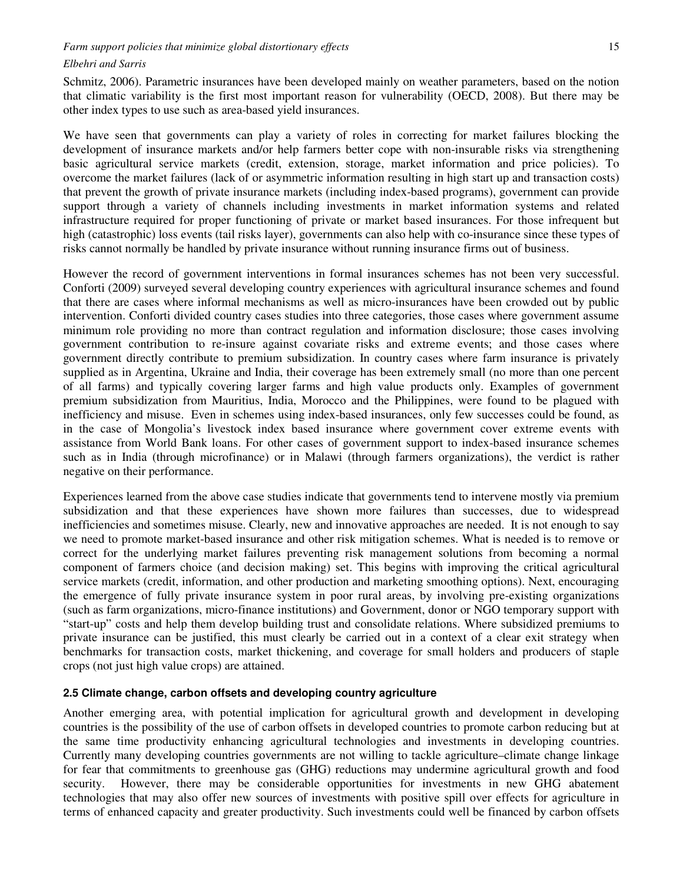Schmitz, 2006). Parametric insurances have been developed mainly on weather parameters, based on the notion that climatic variability is the first most important reason for vulnerability (OECD, 2008). But there may be other index types to use such as area-based yield insurances.

We have seen that governments can play a variety of roles in correcting for market failures blocking the development of insurance markets and/or help farmers better cope with non-insurable risks via strengthening basic agricultural service markets (credit, extension, storage, market information and price policies). To overcome the market failures (lack of or asymmetric information resulting in high start up and transaction costs) that prevent the growth of private insurance markets (including index-based programs), government can provide support through a variety of channels including investments in market information systems and related infrastructure required for proper functioning of private or market based insurances. For those infrequent but high (catastrophic) loss events (tail risks layer), governments can also help with co-insurance since these types of risks cannot normally be handled by private insurance without running insurance firms out of business.

However the record of government interventions in formal insurances schemes has not been very successful. Conforti (2009) surveyed several developing country experiences with agricultural insurance schemes and found that there are cases where informal mechanisms as well as micro-insurances have been crowded out by public intervention. Conforti divided country cases studies into three categories, those cases where government assume minimum role providing no more than contract regulation and information disclosure; those cases involving government contribution to re-insure against covariate risks and extreme events; and those cases where government directly contribute to premium subsidization. In country cases where farm insurance is privately supplied as in Argentina, Ukraine and India, their coverage has been extremely small (no more than one percent of all farms) and typically covering larger farms and high value products only. Examples of government premium subsidization from Mauritius, India, Morocco and the Philippines, were found to be plagued with inefficiency and misuse. Even in schemes using index-based insurances, only few successes could be found, as in the case of Mongolia's livestock index based insurance where government cover extreme events with assistance from World Bank loans. For other cases of government support to index-based insurance schemes such as in India (through microfinance) or in Malawi (through farmers organizations), the verdict is rather negative on their performance.

Experiences learned from the above case studies indicate that governments tend to intervene mostly via premium subsidization and that these experiences have shown more failures than successes, due to widespread inefficiencies and sometimes misuse. Clearly, new and innovative approaches are needed. It is not enough to say we need to promote market-based insurance and other risk mitigation schemes. What is needed is to remove or correct for the underlying market failures preventing risk management solutions from becoming a normal component of farmers choice (and decision making) set. This begins with improving the critical agricultural service markets (credit, information, and other production and marketing smoothing options). Next, encouraging the emergence of fully private insurance system in poor rural areas, by involving pre-existing organizations (such as farm organizations, micro-finance institutions) and Government, donor or NGO temporary support with "start-up" costs and help them develop building trust and consolidate relations. Where subsidized premiums to private insurance can be justified, this must clearly be carried out in a context of a clear exit strategy when benchmarks for transaction costs, market thickening, and coverage for small holders and producers of staple crops (not just high value crops) are attained.

#### **2.5 Climate change, carbon offsets and developing country agriculture**

Another emerging area, with potential implication for agricultural growth and development in developing countries is the possibility of the use of carbon offsets in developed countries to promote carbon reducing but at the same time productivity enhancing agricultural technologies and investments in developing countries. Currently many developing countries governments are not willing to tackle agriculture–climate change linkage for fear that commitments to greenhouse gas (GHG) reductions may undermine agricultural growth and food security. However, there may be considerable opportunities for investments in new GHG abatement technologies that may also offer new sources of investments with positive spill over effects for agriculture in terms of enhanced capacity and greater productivity. Such investments could well be financed by carbon offsets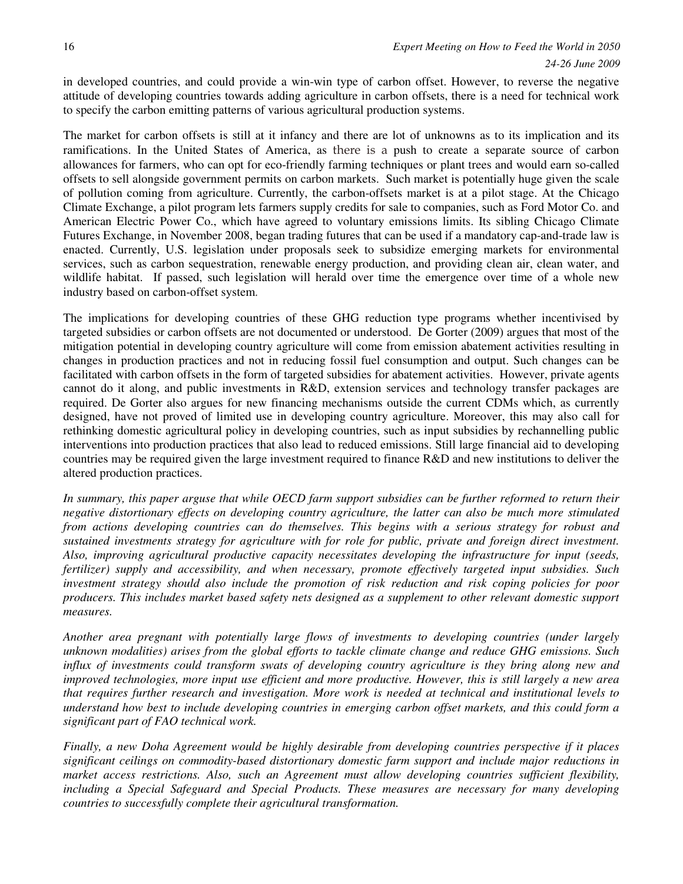in developed countries, and could provide a win-win type of carbon offset. However, to reverse the negative attitude of developing countries towards adding agriculture in carbon offsets, there is a need for technical work to specify the carbon emitting patterns of various agricultural production systems.

The market for carbon offsets is still at it infancy and there are lot of unknowns as to its implication and its ramifications. In the United States of America, as there is a push to create a separate source of carbon allowances for farmers, who can opt for eco-friendly farming techniques or plant trees and would earn so-called offsets to sell alongside government permits on carbon markets. Such market is potentially huge given the scale of pollution coming from agriculture. Currently, the carbon-offsets market is at a pilot stage. At the Chicago Climate Exchange, a pilot program lets farmers supply credits for sale to companies, such as Ford Motor Co. and American Electric Power Co., which have agreed to voluntary emissions limits. Its sibling Chicago Climate Futures Exchange, in November 2008, began trading futures that can be used if a mandatory cap-and-trade law is enacted. Currently, U.S. legislation under proposals seek to subsidize emerging markets for environmental services, such as carbon sequestration, renewable energy production, and providing clean air, clean water, and wildlife habitat. If passed, such legislation will herald over time the emergence over time of a whole new industry based on carbon-offset system.

The implications for developing countries of these GHG reduction type programs whether incentivised by targeted subsidies or carbon offsets are not documented or understood. De Gorter (2009) argues that most of the mitigation potential in developing country agriculture will come from emission abatement activities resulting in changes in production practices and not in reducing fossil fuel consumption and output. Such changes can be facilitated with carbon offsets in the form of targeted subsidies for abatement activities. However, private agents cannot do it along, and public investments in R&D, extension services and technology transfer packages are required. De Gorter also argues for new financing mechanisms outside the current CDMs which, as currently designed, have not proved of limited use in developing country agriculture. Moreover, this may also call for rethinking domestic agricultural policy in developing countries, such as input subsidies by rechannelling public interventions into production practices that also lead to reduced emissions. Still large financial aid to developing countries may be required given the large investment required to finance R&D and new institutions to deliver the altered production practices.

*In summary, this paper arguse that while OECD farm support subsidies can be further reformed to return their negative distortionary effects on developing country agriculture, the latter can also be much more stimulated from actions developing countries can do themselves. This begins with a serious strategy for robust and sustained investments strategy for agriculture with for role for public, private and foreign direct investment. Also, improving agricultural productive capacity necessitates developing the infrastructure for input (seeds, fertilizer) supply and accessibility, and when necessary, promote effectively targeted input subsidies. Such investment strategy should also include the promotion of risk reduction and risk coping policies for poor producers. This includes market based safety nets designed as a supplement to other relevant domestic support measures.* 

*Another area pregnant with potentially large flows of investments to developing countries (under largely unknown modalities) arises from the global efforts to tackle climate change and reduce GHG emissions. Such influx of investments could transform swats of developing country agriculture is they bring along new and improved technologies, more input use efficient and more productive. However, this is still largely a new area that requires further research and investigation. More work is needed at technical and institutional levels to understand how best to include developing countries in emerging carbon offset markets, and this could form a significant part of FAO technical work.* 

*Finally, a new Doha Agreement would be highly desirable from developing countries perspective if it places significant ceilings on commodity-based distortionary domestic farm support and include major reductions in market access restrictions. Also, such an Agreement must allow developing countries sufficient flexibility, including a Special Safeguard and Special Products. These measures are necessary for many developing countries to successfully complete their agricultural transformation.*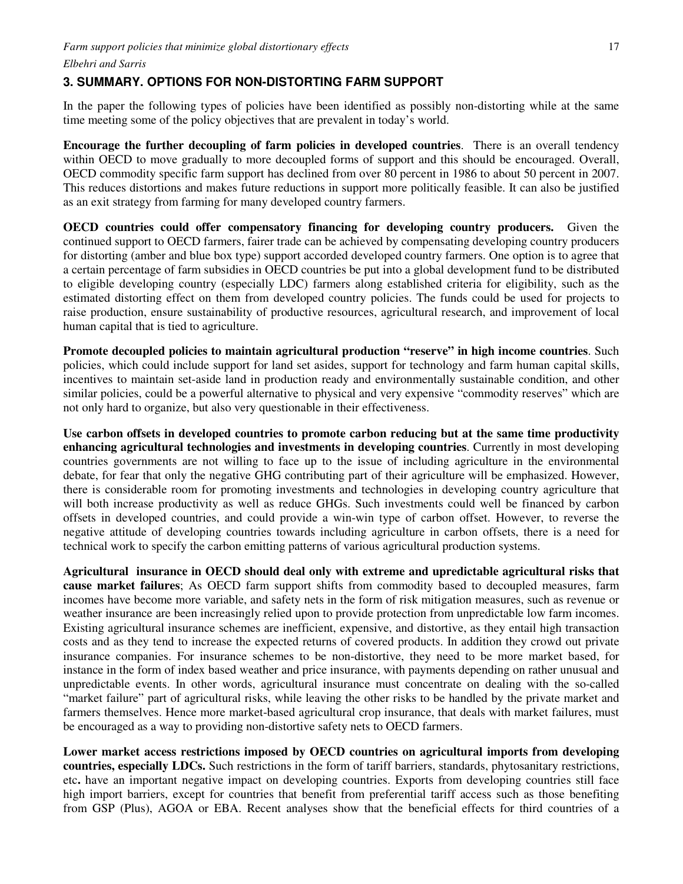### **3. SUMMARY. OPTIONS FOR NON-DISTORTING FARM SUPPORT**

In the paper the following types of policies have been identified as possibly non-distorting while at the same time meeting some of the policy objectives that are prevalent in today's world.

**Encourage the further decoupling of farm policies in developed countries**. There is an overall tendency within OECD to move gradually to more decoupled forms of support and this should be encouraged. Overall, OECD commodity specific farm support has declined from over 80 percent in 1986 to about 50 percent in 2007. This reduces distortions and makes future reductions in support more politically feasible. It can also be justified as an exit strategy from farming for many developed country farmers.

**OECD countries could offer compensatory financing for developing country producers.** Given the continued support to OECD farmers, fairer trade can be achieved by compensating developing country producers for distorting (amber and blue box type) support accorded developed country farmers. One option is to agree that a certain percentage of farm subsidies in OECD countries be put into a global development fund to be distributed to eligible developing country (especially LDC) farmers along established criteria for eligibility, such as the estimated distorting effect on them from developed country policies. The funds could be used for projects to raise production, ensure sustainability of productive resources, agricultural research, and improvement of local human capital that is tied to agriculture.

**Promote decoupled policies to maintain agricultural production "reserve" in high income countries**. Such policies, which could include support for land set asides, support for technology and farm human capital skills, incentives to maintain set-aside land in production ready and environmentally sustainable condition, and other similar policies, could be a powerful alternative to physical and very expensive "commodity reserves" which are not only hard to organize, but also very questionable in their effectiveness.

**Use carbon offsets in developed countries to promote carbon reducing but at the same time productivity enhancing agricultural technologies and investments in developing countries**. Currently in most developing countries governments are not willing to face up to the issue of including agriculture in the environmental debate, for fear that only the negative GHG contributing part of their agriculture will be emphasized. However, there is considerable room for promoting investments and technologies in developing country agriculture that will both increase productivity as well as reduce GHGs. Such investments could well be financed by carbon offsets in developed countries, and could provide a win-win type of carbon offset. However, to reverse the negative attitude of developing countries towards including agriculture in carbon offsets, there is a need for technical work to specify the carbon emitting patterns of various agricultural production systems.

**Agricultural insurance in OECD should deal only with extreme and upredictable agricultural risks that cause market failures**; As OECD farm support shifts from commodity based to decoupled measures, farm incomes have become more variable, and safety nets in the form of risk mitigation measures, such as revenue or weather insurance are been increasingly relied upon to provide protection from unpredictable low farm incomes. Existing agricultural insurance schemes are inefficient, expensive, and distortive, as they entail high transaction costs and as they tend to increase the expected returns of covered products. In addition they crowd out private insurance companies. For insurance schemes to be non-distortive, they need to be more market based, for instance in the form of index based weather and price insurance, with payments depending on rather unusual and unpredictable events. In other words, agricultural insurance must concentrate on dealing with the so-called "market failure" part of agricultural risks, while leaving the other risks to be handled by the private market and farmers themselves. Hence more market-based agricultural crop insurance, that deals with market failures, must be encouraged as a way to providing non-distortive safety nets to OECD farmers.

**Lower market access restrictions imposed by OECD countries on agricultural imports from developing countries, especially LDCs.** Such restrictions in the form of tariff barriers, standards, phytosanitary restrictions, etc**.** have an important negative impact on developing countries. Exports from developing countries still face high import barriers, except for countries that benefit from preferential tariff access such as those benefiting from GSP (Plus), AGOA or EBA. Recent analyses show that the beneficial effects for third countries of a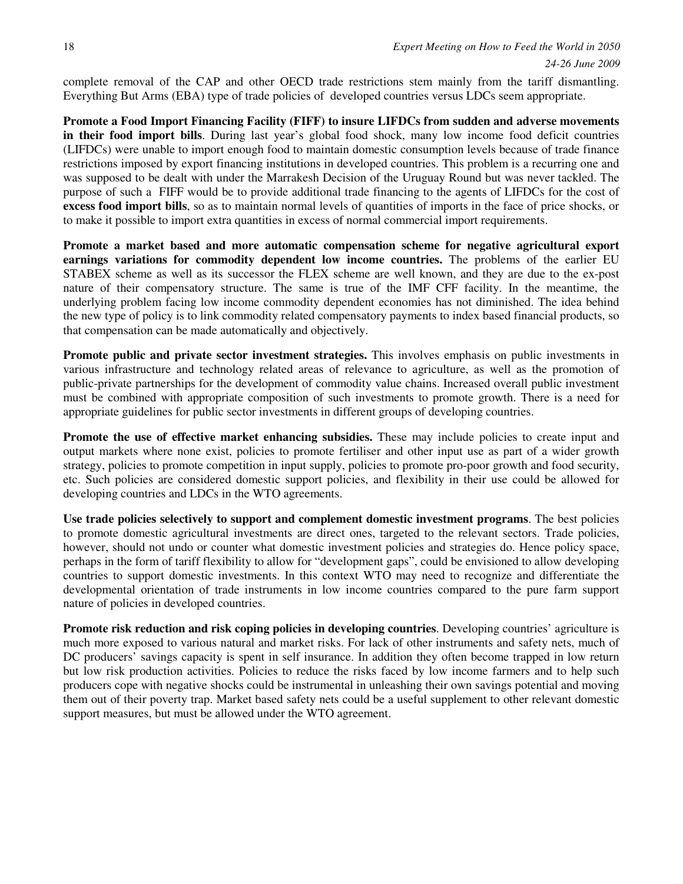complete removal of the CAP and other OECD trade restrictions stem mainly from the tariff dismantling. Everything But Arms (EBA) type of trade policies of developed countries versus LDCs seem appropriate.

**Promote a Food Import Financing Facility (FIFF) to insure LIFDCs from sudden and adverse movements in their food import bills**. During last year's global food shock, many low income food deficit countries (LIFDCs) were unable to import enough food to maintain domestic consumption levels because of trade finance restrictions imposed by export financing institutions in developed countries. This problem is a recurring one and was supposed to be dealt with under the Marrakesh Decision of the Uruguay Round but was never tackled. The purpose of such a FIFF would be to provide additional trade financing to the agents of LIFDCs for the cost of **excess food import bills**, so as to maintain normal levels of quantities of imports in the face of price shocks, or to make it possible to import extra quantities in excess of normal commercial import requirements.

**Promote a market based and more automatic compensation scheme for negative agricultural export earnings variations for commodity dependent low income countries.** The problems of the earlier EU STABEX scheme as well as its successor the FLEX scheme are well known, and they are due to the ex-post nature of their compensatory structure. The same is true of the IMF CFF facility. In the meantime, the underlying problem facing low income commodity dependent economies has not diminished. The idea behind the new type of policy is to link commodity related compensatory payments to index based financial products, so that compensation can be made automatically and objectively.

**Promote public and private sector investment strategies.** This involves emphasis on public investments in various infrastructure and technology related areas of relevance to agriculture, as well as the promotion of public-private partnerships for the development of commodity value chains. Increased overall public investment must be combined with appropriate composition of such investments to promote growth. There is a need for appropriate guidelines for public sector investments in different groups of developing countries.

**Promote the use of effective market enhancing subsidies.** These may include policies to create input and output markets where none exist, policies to promote fertiliser and other input use as part of a wider growth strategy, policies to promote competition in input supply, policies to promote pro-poor growth and food security, etc. Such policies are considered domestic support policies, and flexibility in their use could be allowed for developing countries and LDCs in the WTO agreements.

**Use trade policies selectively to support and complement domestic investment programs**. The best policies to promote domestic agricultural investments are direct ones, targeted to the relevant sectors. Trade policies, however, should not undo or counter what domestic investment policies and strategies do. Hence policy space, perhaps in the form of tariff flexibility to allow for "development gaps", could be envisioned to allow developing countries to support domestic investments. In this context WTO may need to recognize and differentiate the developmental orientation of trade instruments in low income countries compared to the pure farm support nature of policies in developed countries.

**Promote risk reduction and risk coping policies in developing countries**. Developing countries' agriculture is much more exposed to various natural and market risks. For lack of other instruments and safety nets, much of DC producers' savings capacity is spent in self insurance. In addition they often become trapped in low return but low risk production activities. Policies to reduce the risks faced by low income farmers and to help such producers cope with negative shocks could be instrumental in unleashing their own savings potential and moving them out of their poverty trap. Market based safety nets could be a useful supplement to other relevant domestic support measures, but must be allowed under the WTO agreement.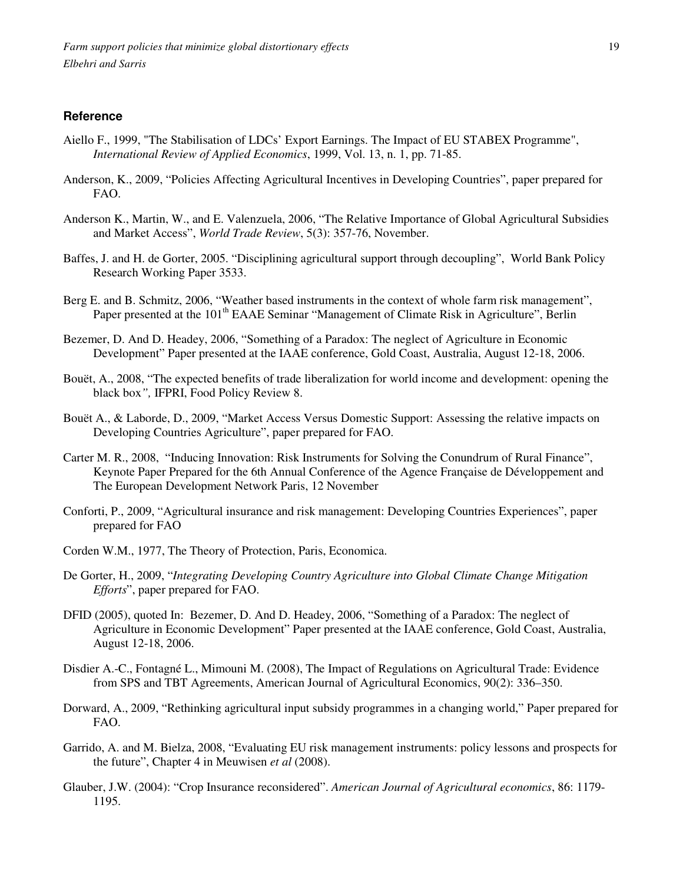### **Reference**

- Aiello F., 1999, "The Stabilisation of LDCs' Export Earnings. The Impact of EU STABEX Programme", *International Review of Applied Economics*, 1999, Vol. 13, n. 1, pp. 71-85.
- Anderson, K., 2009, "Policies Affecting Agricultural Incentives in Developing Countries", paper prepared for FAO.
- Anderson K., Martin, W., and E. Valenzuela, 2006, "The Relative Importance of Global Agricultural Subsidies and Market Access", *World Trade Review*, 5(3): 357-76, November.
- Baffes, J. and H. de Gorter, 2005. "Disciplining agricultural support through decoupling", World Bank Policy Research Working Paper 3533.
- Berg E. and B. Schmitz, 2006, "Weather based instruments in the context of whole farm risk management", Paper presented at the 101<sup>th</sup> EAAE Seminar "Management of Climate Risk in Agriculture", Berlin
- Bezemer, D. And D. Headey, 2006, "Something of a Paradox: The neglect of Agriculture in Economic Development" Paper presented at the IAAE conference, Gold Coast, Australia, August 12-18, 2006.
- Bouët, A., 2008, "The expected benefits of trade liberalization for world income and development: opening the black box*",* IFPRI, Food Policy Review 8.
- Bouët A., & Laborde, D., 2009, "Market Access Versus Domestic Support: Assessing the relative impacts on Developing Countries Agriculture", paper prepared for FAO.
- Carter M. R., 2008, "Inducing Innovation: Risk Instruments for Solving the Conundrum of Rural Finance", Keynote Paper Prepared for the 6th Annual Conference of the Agence Française de Développement and The European Development Network Paris, 12 November
- Conforti, P., 2009, "Agricultural insurance and risk management: Developing Countries Experiences", paper prepared for FAO
- Corden W.M., 1977, The Theory of Protection, Paris, Economica.
- De Gorter, H., 2009, "*Integrating Developing Country Agriculture into Global Climate Change Mitigation Efforts*", paper prepared for FAO.
- DFID (2005), quoted In: Bezemer, D. And D. Headey, 2006, "Something of a Paradox: The neglect of Agriculture in Economic Development" Paper presented at the IAAE conference, Gold Coast, Australia, August 12-18, 2006.
- Disdier A.-C., Fontagné L., Mimouni M. (2008), The Impact of Regulations on Agricultural Trade: Evidence from SPS and TBT Agreements, American Journal of Agricultural Economics, 90(2): 336–350.
- Dorward, A., 2009, "Rethinking agricultural input subsidy programmes in a changing world," Paper prepared for FAO.
- Garrido, A. and M. Bielza, 2008, "Evaluating EU risk management instruments: policy lessons and prospects for the future", Chapter 4 in Meuwisen *et al* (2008).
- Glauber, J.W. (2004): "Crop Insurance reconsidered". *American Journal of Agricultural economics*, 86: 1179- 1195.